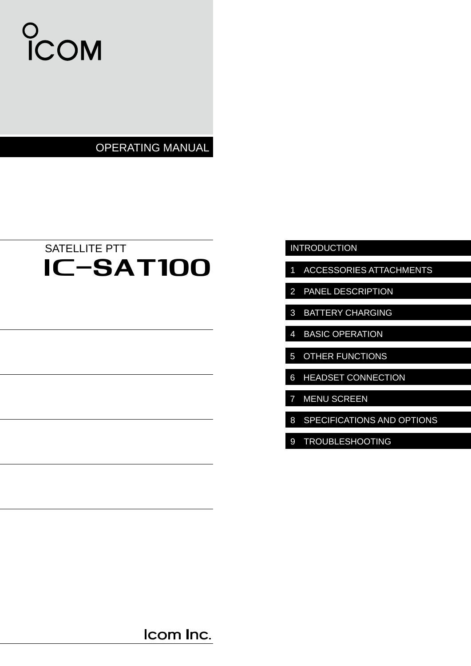# COM

OPERATING MANUAL

# IC-SAT100 SATELLITE PTT

### INTRODUCTION

- 1 ACCESSORIES ATTACHMENTS
- 2 PANEL DESCRIPTION
- 3 BATTERY CHARGING
- 4 BASIC OPERATION
- 5 OTHER FUNCTIONS
- 6 HEADSET CONNECTION
- 7 MENU SCREEN
- 8 SPECIFICATIONS AND OPTIONS
- 9 TROUBLESHOOTING

Icom Inc.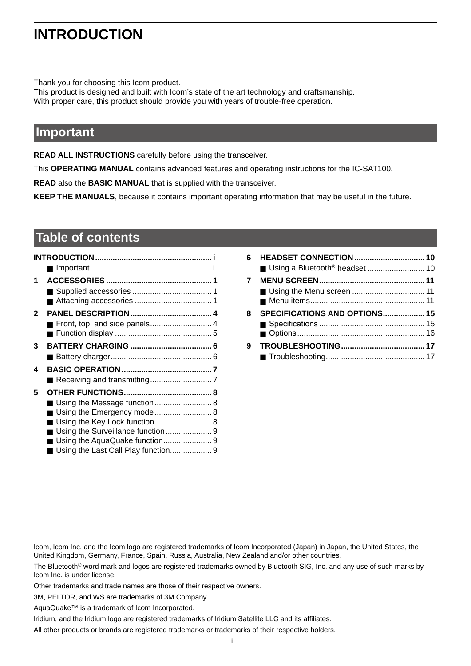### **INTRODUCTION**

Thank you for choosing this Icom product.

This product is designed and built with Icom's state of the art technology and craftsmanship. With proper care, this product should provide you with years of trouble-free operation.

### **Important**

**READ ALL INSTRUCTIONS** carefully before using the transceiver.

This **OPERATING MANUAL** contains advanced features and operating instructions for the IC-SAT100.

**READ** also the **BASIC MANUAL** that is supplied with the transceiver.

**KEEP THE MANUALS**, because it contains important operating information that may be useful in the future.

### **Table of contents**

| 1 |                                     |  |
|---|-------------------------------------|--|
|   |                                     |  |
| 2 |                                     |  |
|   |                                     |  |
| 3 |                                     |  |
|   |                                     |  |
| 4 |                                     |  |
|   |                                     |  |
| 5 |                                     |  |
|   |                                     |  |
|   | ■ Using the Emergency mode 8        |  |
|   |                                     |  |
|   |                                     |  |
|   | Using the Last Call Play function 9 |  |

| 6 |                               |  |
|---|-------------------------------|--|
| 7 |                               |  |
| 8 | SPECIFICATIONS AND OPTIONS 15 |  |
| 9 |                               |  |

Icom, Icom Inc. and the Icom logo are registered trademarks of Icom Incorporated (Japan) in Japan, the United States, the United Kingdom, Germany, France, Spain, Russia, Australia, New Zealand and/or other countries.

The Bluetooth® word mark and logos are registered trademarks owned by Bluetooth SIG, Inc. and any use of such marks by Icom Inc. is under license.

Other trademarks and trade names are those of their respective owners.

3M, PELTOR, and WS are trademarks of 3M Company.

AquaQuake™ is a trademark of Icom Incorporated.

Iridium, and the Iridium logo are registered trademarks of Iridium Satellite LLC and its affiliates.

All other products or brands are registered trademarks or trademarks of their respective holders.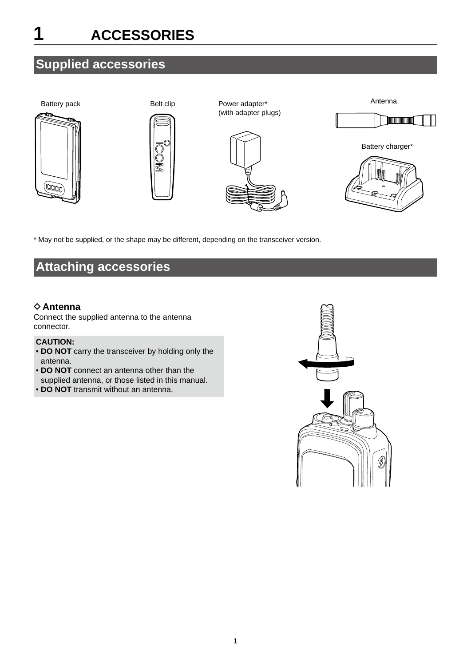## <span id="page-2-0"></span>**1 ACCESSORIES**

### **Supplied accessories**



\* May not be supplied, or the shape may be different, depending on the transceiver version.

### **Attaching accessories**

### **♦ Antenna**

Connect the supplied antenna to the antenna connector.

### **CAUTION:**

- **DO NOT** carry the transceiver by holding only the antenna.
- **DO NOT** connect an antenna other than the supplied antenna, or those listed in this manual.
- **DO NOT** transmit without an antenna.

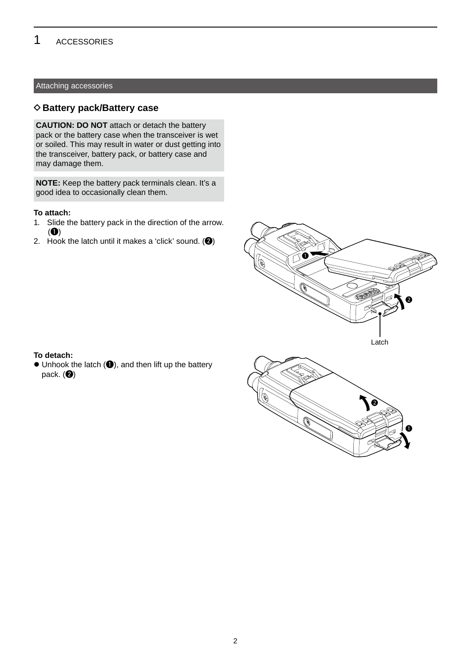#### **ACCESSORIES** 1

### Attaching accessories

### $\diamond$  Battery pack/Battery case

**CAUTION: DO NOT** attach or detach the battery pack or the battery case when the transceiver is wet or soiled. This may result in water or dust getting into the transceiver, battery pack, or battery case and may damage them.

**NOTE:** Keep the battery pack terminals clean. It's a good idea to occasionally clean them.

#### **To attach:**

- 1. Slide the battery pack in the direction of the arrow.  $\left( \bullet \right)$
- 2. Hook the latch until it makes a 'click' sound.  $\left( \bullet \right)$





 $\bullet$  Unhook the latch  $(\bullet)$ , and then lift up the battery pack.  $\left( \circledast \right)$ 

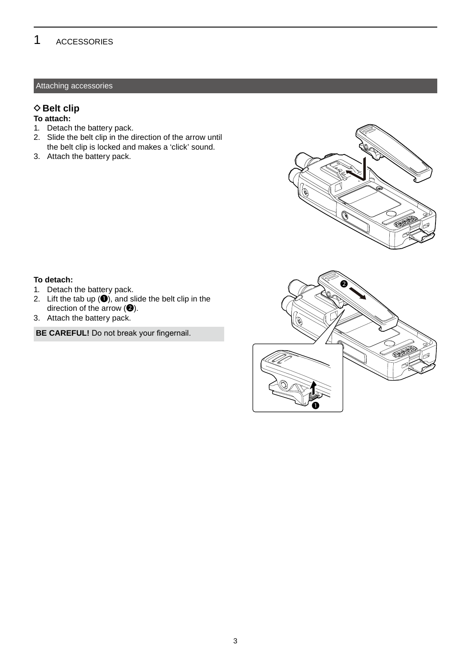#### **ACCESSORIES** 1

### Attaching accessories

### $♦$  **Belt clip**

### **To attach:**

- 1. Detach the battery pack.
- 2. Slide the belt clip in the direction of the arrow until the belt clip is locked and makes a 'click' sound.
- 3. Attach the battery pack.



### **To detach:**

- 1. Detach the battery pack.
- 2. Lift the tab up  $(①)$ , and slide the belt clip in the direction of the arrow  $(②)$ .
- 3. Attach the battery pack.

**BE CAREFUL!** Do not break your fingernail.

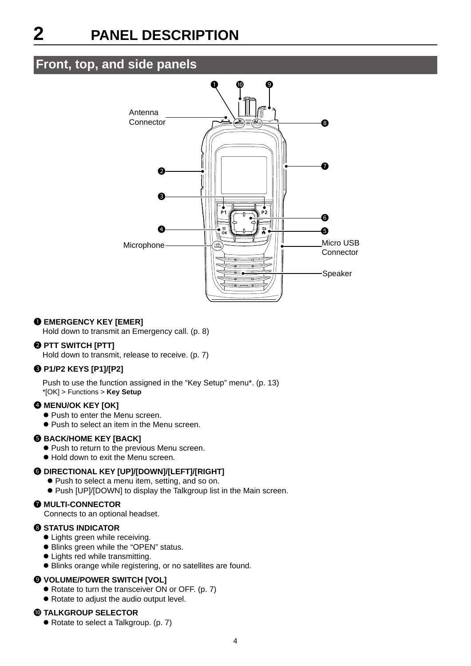### <span id="page-5-0"></span>**Front, top, and side panels**



### **1 EMERGENCY KEY [EMER]**

Hold down to transmit an Emergency call. (p. 8)

### 2 **PTT SWITCH [PTT]**

Hold down to transmit, release to receive. (p. 7)

### 3 **P1/P2 KEYS [P1]/[P2]**

Push to use the function assigned in the "Key Setup" menu\*. (p. 13) \*[OK] > Functions > **Key Setup**

### **4 MENU/OK KEY [OK]**

- $\bullet$  Push to enter the Menu screen.
- $\bullet$  Push to select an item in the Menu screen.

### **6 BACK/HOME KEY [BACK]**

- Push to return to the previous Menu screen.
- $\bullet$  Hold down to exit the Menu screen.

### 6 **DIRECTIONAL KEY [UP]/[DOWN]/[LEFT]/[RIGHT]**

- Push to select a menu item, setting, and so on.
- Push [UP]/[DOWN] to display the Talkgroup list in the Main screen.

#### **<sup>** $\odot$ **</sup> MULTI-CONNECTOR**

Connects to an optional headset.

### 8 **STATUS INDICATOR**

- Lights green while receiving.
- Blinks green while the "OPEN" status.
- Lights red while transmitting.
- $\bullet$  Blinks orange while registering, or no satellites are found.

### 9 **VOLUME/POWER SWITCH [VOL]**

- Rotate to turn the transceiver ON or OFF. (p. 7)
- Rotate to adjust the audio output level.

#### 10 **TALKGROUP SELECTOR**

• Rotate to select a Talkgroup. (p. 7)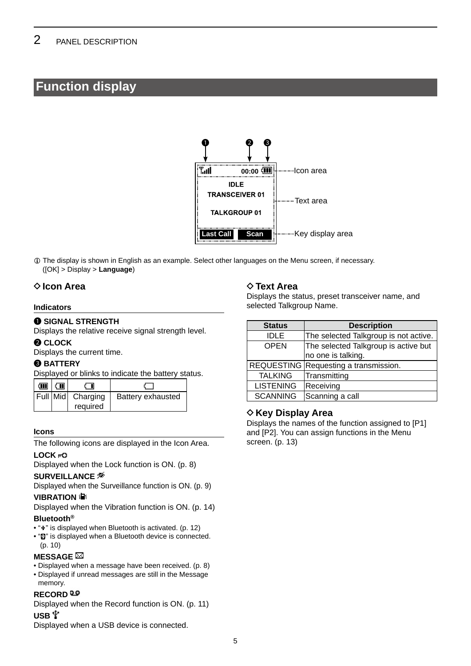### <span id="page-6-0"></span>**Function display**



L The display is shown in English as an example. Select other languages on the Menu screen, if necessary. ([OK] > Display > **Language**)

### **◇ Icon Area**

#### **Indicators**

### **<sup>0</sup> SIGNAL STRENGTH**

Displays the relative receive signal strength level.

### **@ CLOCK**

Displays the current time.

### **8 BATTERY**

Displayed or blinks to indicate the battery status.

| m | ∈ш |                   |                   |
|---|----|-------------------|-------------------|
|   |    | Full Mid Charging | Battery exhausted |
|   |    | required          |                   |

### **Icons**

The following icons are displayed in the Icon Area.

### **LOCK**

Displayed when the Lock function is ON. (p. 8)

#### **SURVEILLANCE**

Displayed when the Surveillance function is ON. (p. 9)

### **VIBRATION &**

Displayed when the Vibration function is ON. (p. 14)

### **Bluetooth®**

- " $*$ " is displayed when Bluetooth is activated. (p. 12)
- " $\mathbf{B}$ " is displayed when a Bluetooth device is connected. (p. 10)

### **MESSAGE** ⊠

- Displayed when a message have been received. (p. 8)
- Displayed if unread messages are still in the Message

### memory. **RECORD**

Displayed when the Record function is ON. (p. 11)

### $USB \Psi$

Displayed when a USB device is connected.

### $♦$  **Text Area**

Displays the status, preset transceiver name, and selected Talkgroup Name.

| <b>Status</b>    | <b>Description</b>                    |
|------------------|---------------------------------------|
| <b>IDLE</b>      | The selected Talkgroup is not active. |
| <b>OPEN</b>      | The selected Talkgroup is active but  |
|                  | no one is talking.                    |
|                  | REQUESTING Requesting a transmission. |
| <b>TALKING</b>   | Transmitting                          |
| <b>LISTENING</b> | Receiving                             |
| <b>SCANNING</b>  | Scanning a call                       |

### **♦ Key Display Area**

Displays the names of the function assigned to [P1] and [P2]. You can assign functions in the Menu screen. (p. 13)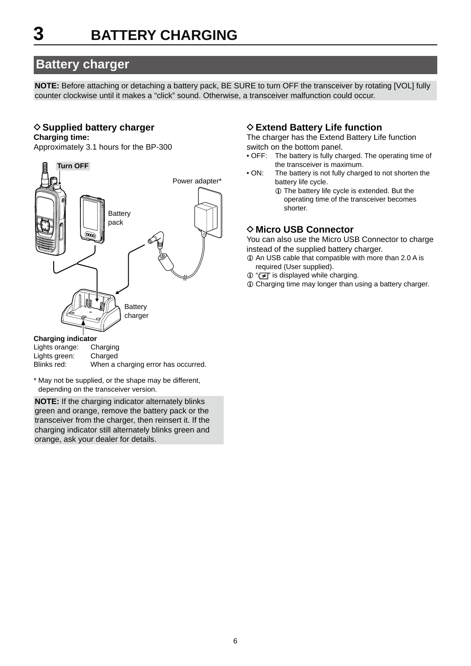### <span id="page-7-0"></span>**Battery charger**

**NOTE:** Before attaching or detaching a battery pack, BE SURE to turn OFF the transceiver by rotating [VOL] fully counter clockwise until it makes a "click" sound. Otherwise, a transceiver malfunction could occur.

### **♦ Supplied battery charger**

### **Charging time:**

Approximately 3.1 hours for the BP-300



### **Charging indicator**

| Lights orange: | Charging                            |
|----------------|-------------------------------------|
| Lights green:  | Charged                             |
| Blinks red:    | When a charging error has occurred. |

\* May not be supplied, or the shape may be different, depending on the transceiver version.

**NOTE:** If the charging indicator alternately blinks green and orange, remove the battery pack or the transceiver from the charger, then reinsert it. If the charging indicator still alternately blinks green and orange, ask your dealer for details.

### **♦ Extend Battery Life function**

The charger has the Extend Battery Life function switch on the bottom panel.

- OFF: The battery is fully charged. The operating time of the transceiver is maximum.
- ON: The battery is not fully charged to not shorten the battery life cycle.
	- L The battery life cycle is extended. But the operating time of the transceiver becomes shorter.

### **◇ Micro USB Connector**

You can also use the Micro USB Connector to charge instead of the supplied battery charger.

- $Q$  An USB cable that compatible with more than 2.0 A is required (User supplied).
- ① "【 子 is displayed while charging.
- L Charging time may longer than using a battery charger.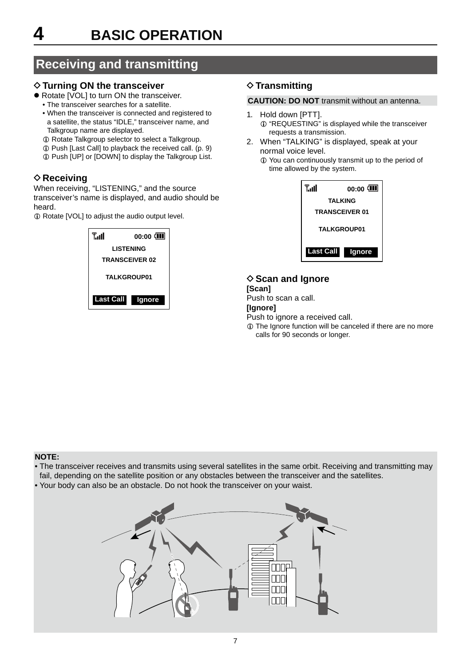### <span id="page-8-0"></span> **Receiving and transmitting**

### **♦ Turning ON the transceiver**

- Rotate [VOL] to turn ON the transceiver.
	- The transceiver searches for a satellite.
	- When the transceiver is connected and registered to a satellite, the status "IDLE," transceiver name, and Talkgroup name are displayed.
	- $\circledR$  Rotate Talkgroup selector to select a Talkgroup.
	- L Push [Last Call] to playback the received call. (p. 9)
	- $\circledR$  Push [UP] or [DOWN] to display the Talkgroup List.

### **♦ Receiving**

When receiving, "LISTENING," and the source transceiver's name is displayed, and audio should be heard.

 $\circledR$  Rotate [VOL] to adjust the audio output level.



### **♦ Transmitting**

### **CAUTION: DO NOT** transmit without an antenna.

- 1. Hold down [PTT].
	- $\odot$  "REQUESTING" is displayed while the transceiver requests a transmission.
- 2. When "TALKING" is displayed, speak at your normal voice level.

L You can continuously transmit up to the period of time allowed by the system.

| T.ul               | $00:00$ $\sqrt{111}$  |  |  |
|--------------------|-----------------------|--|--|
|                    | TALKING               |  |  |
|                    | <b>TRANSCEIVER 01</b> |  |  |
| <b>TALKGROUP01</b> |                       |  |  |
| <b>Last Call</b>   | lgnore                |  |  |

### **◇ Scan and Ignore**

#### **[Scan]** Push to scan a call. **[Ignore]** Push to ignore a received call. L The Ignore function will be canceled if there are no more

calls for 90 seconds or longer.

### **NOTE:**

- The transceiver receives and transmits using several satellites in the same orbit. Receiving and transmitting may fail, depending on the satellite position or any obstacles between the transceiver and the satellites.
- Your body can also be an obstacle. Do not hook the transceiver on your waist.

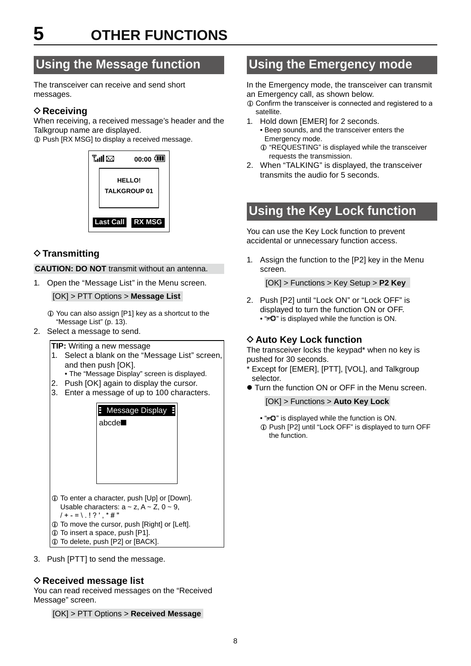# <span id="page-9-0"></span>**5 OTHER FUNCTIONS**

### **Using the Message function**

The transceiver can receive and send short messages.

### **♦ Receiving**

When receiving, a received message's header and the Talkgroup name are displayed.

 $Q$  Push [RX MSG] to display a received message.



### **♦ Transmitting**

**CAUTION: DO NOT** transmit without an antenna.

1. Open the "Message List" in the Menu screen.

[OK] > PTT Options > **Message List**

- $Q$  You can also assign [P1] key as a shortcut to the "Message List" (p. 13).
- 2. Select a message to send.
	- **TIP:** Writing a new message
	- 1. Select a blank on the "Message List" screen, and then push [OK].
	- The "Message Display" screen is displayed.
	- 2. Push [OK] again to display the cursor.
	- 3. Enter a message of up to 100 characters.



3. Push [PTT] to send the message.

### **♦ Received message list**

You can read received messages on the "Received Message" screen.

[OK] > PTT Options > **Received Message**

### **Using the Emergency mode**

In the Emergency mode, the transceiver can transmit an Emergency call, as shown below.

- L Confirm the transceiver is connected and registered to a satellite.
- 1. Hold down [EMER] for 2 seconds.
	- Beep sounds, and the transceiver enters the Emergency mode.
	- $Q$  "REQUESTING" is displayed while the transceiver requests the transmission.
- 2. When "TALKING" is displayed, the transceiver transmits the audio for 5 seconds.

### **Using the Key Lock function**

You can use the Key Lock function to prevent accidental or unnecessary function access.

1. Assign the function to the [P2] key in the Menu screen.

[OK] > Functions > Key Setup > **P2 Key**

2. Push [P2] until "Lock ON" or "Lock OFF" is displayed to turn the function ON or OFF. • " $\overline{PQ}$ " is displayed while the function is ON.

### **♦ Auto Key Lock function**

The transceiver locks the keypad\* when no key is pushed for 30 seconds.

- \* Except for [EMER], [PTT], [VOL], and Talkgroup selector.
- Turn the function ON or OFF in the Menu screen.

[OK] > Functions > **Auto Key Lock**

- " $\overline{PQ}$ " is displayed while the function is ON.
- L Push [P2] until "Lock OFF" is displayed to turn OFF the function.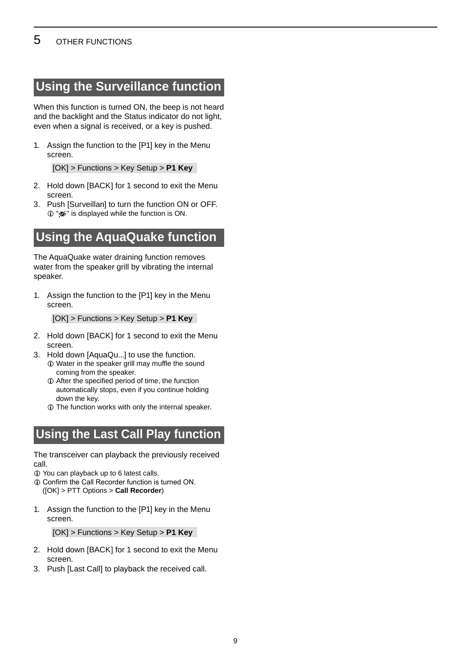### <span id="page-10-0"></span>**Using the Surveillance function**

When this function is turned ON, the beep is not heard and the backlight and the Status indicator do not light, even when a signal is received, or a key is pushed.

1. Assign the function to the [P1] key in the Menu screen.

[OK] > Functions > Key Setup > **P1 Key**

- 2. Hold down [BACK] for 1 second to exit the Menu screen.
- 3. Push [Surveillan] to turn the function ON or OFF.  $\Phi$  " $\mathcal{D}$ " is displayed while the function is ON.

### **Using the AquaQuake function**

The AquaQuake water draining function removes water from the speaker grill by vibrating the internal speaker.

1. Assign the function to the [P1] key in the Menu screen.

[OK] > Functions > Key Setup > **P1 Key**

- 2. Hold down [BACK] for 1 second to exit the Menu screen.
- 3. Hold down [AquaQu...] to use the function.
	- L Water in the speaker grill may muffle the sound coming from the speaker.
	- $\odot$  After the specified period of time, the function automatically stops, even if you continue holding down the key.
	- $\odot$  The function works with only the internal speaker.

### **Using the Last Call Play function**

The transceiver can playback the previously received call.

- L You can playback up to 6 latest calls.
- $\Omega$  Confirm the Call Recorder function is turned ON. ([OK] > PTT Options > **Call Recorder**)
- 1. Assign the function to the [P1] key in the Menu screen.

[OK] > Functions > Key Setup > **P1 Key**

- 2. Hold down [BACK] for 1 second to exit the Menu screen.
- 3. Push [Last Call] to playback the received call.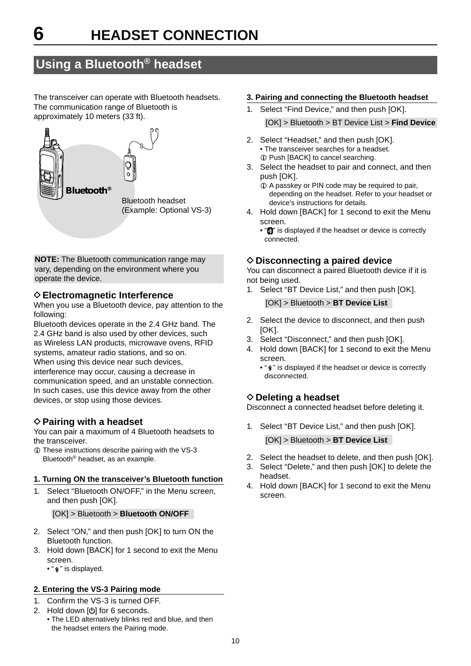### <span id="page-11-0"></span>**Using a Bluetooth® headset**

The transceiver can operate with Bluetooth headsets. The communication range of Bluetooth is approximately 10 meters (33 ft).



**NOTE:** The Bluetooth communication range may vary, depending on the environment where you operate the device.

### **◇ Electromagnetic Interference**

When you use a Bluetooth device, pay attention to the following:

Bluetooth devices operate in the 2.4 GHz band. The 2.4 GHz band is also used by other devices, such as Wireless LAN products, microwave ovens, RFID systems, amateur radio stations, and so on. When using this device near such devices, interference may occur, causing a decrease in communication speed, and an unstable connection. In such cases, use this device away from the other devices, or stop using those devices.

### **♦ Pairing with a headset**

You can pair a maximum of 4 Bluetooth headsets to the transceiver.

L These instructions describe pairing with the VS-3 Bluetooth® headset, as an example.

### **1. Turning ON the transceiver's Bluetooth function**

1. Select "Bluetooth ON/OFF," in the Menu screen, and then push [OK].

#### [OK] > Bluetooth > **Bluetooth ON/OFF**

- 2. Select "ON," and then push [OK] to turn ON the Bluetooth function.
- 3. Hold down [BACK] for 1 second to exit the Menu screen.
	- " $*$ " is displayed.

### **2. Entering the VS-3 Pairing mode**

- 1. Confirm the VS-3 is turned OFF.
- 2. Hold down  $[**①**]$  for 6 seconds.
- The LED alternatively blinks red and blue, and then the headset enters the Pairing mode.

#### **3. Pairing and connecting the Bluetooth headset**

- 1. Select "Find Device," and then push [OK]. [OK] > Bluetooth > BT Device List > **Find Device**
- 2. Select "Headset," and then push [OK]. • The transceiver searches for a headset. L Push [BACK] to cancel searching.
- 3. Select the headset to pair and connect, and then push [OK].
	- $Q$  A passkey or PIN code may be required to pair, depending on the headset. Refer to your headset or device's instructions for details.
- 4. Hold down [BACK] for 1 second to exit the Menu screen.
	- " $\blacksquare$ " is displayed if the headset or device is correctly connected.

### **◇ Disconnecting a paired device**

You can disconnect a paired Bluetooth device if it is not being used.

1. Select "BT Device List," and then push [OK].

[OK] > Bluetooth > **BT Device List**

- 2. Select the device to disconnect, and then push [OK].
- 3. Select "Disconnect," and then push [OK].
- 4. Hold down [BACK] for 1 second to exit the Menu screen.
	- " $*$ " is displayed if the headset or device is correctly disconnected.

### **◇ Deleting a headset**

Disconnect a connected headset before deleting it.

1. Select "BT Device List," and then push [OK].

[OK] > Bluetooth > **BT Device List**

- 2. Select the headset to delete, and then push [OK].
- 3. Select "Delete," and then push [OK] to delete the headset.
- 4. Hold down [BACK] for 1 second to exit the Menu screen.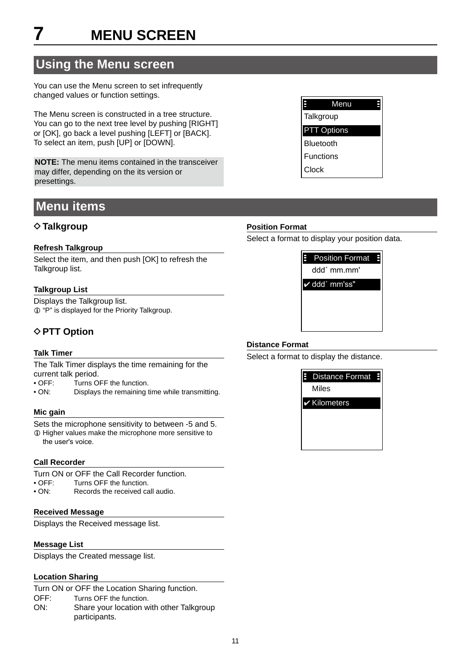### <span id="page-12-0"></span>**Using the Menu screen**

You can use the Menu screen to set infrequently changed values or function settings.

The Menu screen is constructed in a tree structure. You can go to the next tree level by pushing [RIGHT] or [OK], go back a level pushing [LEFT] or [BACK]. To select an item, push [UP] or [DOWN].

**NOTE:** The menu items contained in the transceiver may differ, depending on the its version or presettings.

### **Menu items**

### **◇ Talkgroup**

### **Refresh Talkgroup**

Select the item, and then push [OK] to refresh the Talkgroup list.

### **Talkgroup List**

Displays the Talkgroup list. L "P" is displayed for the Priority Talkgroup.

### **◇ PTT Option**

### **Talk Timer**

The Talk Timer displays the time remaining for the current talk period.

• OFF: Turns OFF the function.

• ON: Displays the remaining time while transmitting.

### **Mic gain**

Sets the microphone sensitivity to between -5 and 5. L Higher values make the microphone more sensitive to the user's voice.

### **Call Recorder**

- Turn ON or OFF the Call Recorder function.<br>• OFF: Turns OFF the function
- OFF: Turns OFF the function.<br>• ON: Records the received ca
- ON: Records the received call audio.

### **Received Message**

Displays the Received message list.

### **Message List**

Displays the Created message list.

### **Location Sharing**

Turn ON or OFF the Location Sharing function.

- OFF: Turns OFF the function.
- ON: Share your location with other Talkgroup participants.

### **Distance Format**

**Position Format**

Select a format to display the distance.

Select a format to display your position data.

✔ ddd˚ mm'ss"

Position Format

ddd° mm.mm'



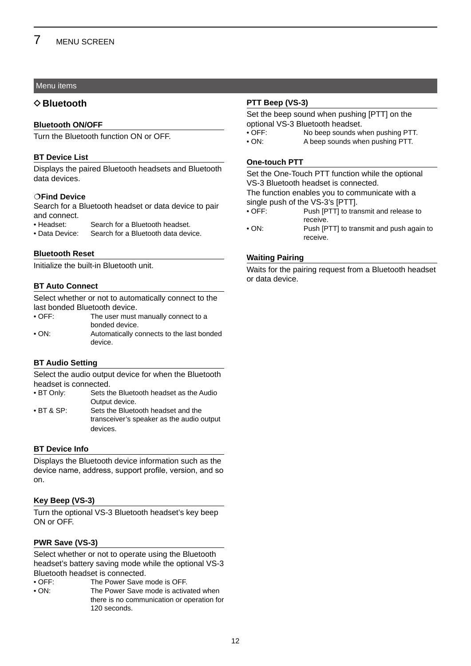### Menu items

### **♦ Bluetooth**

### **Bluetooth ON/OFF**

Turn the Bluetooth function ON or OFF.

### **BT Device List**

Displays the paired Bluetooth headsets and Bluetooth data devices.

### **Find Device**

Search for a Bluetooth headset or data device to pair and connect.

- Headset: Search for a Bluetooth headset.
- Data Device: Search for a Bluetooth data device.

### **Bluetooth Reset**

Initialize the built-in Bluetooth unit.

### **BT Auto Connect**

Select whether or not to automatically connect to the last bonded Bluetooth device.

| $\bullet$ OFF: | The user must manually connect to a       |
|----------------|-------------------------------------------|
|                | bonded device.                            |
| • ON:          | Automatically connects to the last bonded |
|                | device.                                   |

### **BT Audio Setting**

Select the audio output device for when the Bluetooth headset is connected.<br>• BT Only: Sets the

- Sets the Bluetooth headset as the Audio Output device.
- BT & SP: Sets the Bluetooth headset and the transceiver's speaker as the audio output devices.

### **BT Device Info**

Displays the Bluetooth device information such as the device name, address, support profile, version, and so on.

### **Key Beep (VS-3)**

Turn the optional VS-3 Bluetooth headset's key beep ON or OFF.

### **PWR Save (VS-3)**

Select whether or not to operate using the Bluetooth headset's battery saving mode while the optional VS-3 Bluetooth headset is connected.

- OFF: The Power Save mode is OFF.
- ON: The Power Save mode is activated when there is no communication or operation for 120 seconds.

### **PTT Beep (VS-3)**

Set the beep sound when pushing [PTT] on the optional VS-3 Bluetooth headset.

- OFF: No beep sounds when pushing PTT.
- ON: A beep sounds when pushing PTT.

### **One-touch PTT**

Set the One-Touch PTT function while the optional VS-3 Bluetooth headset is connected.

The function enables you to communicate with a single push of the VS-3's [PTT].<br>• OFF: Push [PTT] to tra

- Push [PTT] to transmit and release to receive.
- ON: Push [PTT] to transmit and push again to receive.

### **Waiting Pairing**

Waits for the pairing request from a Bluetooth headset or data device.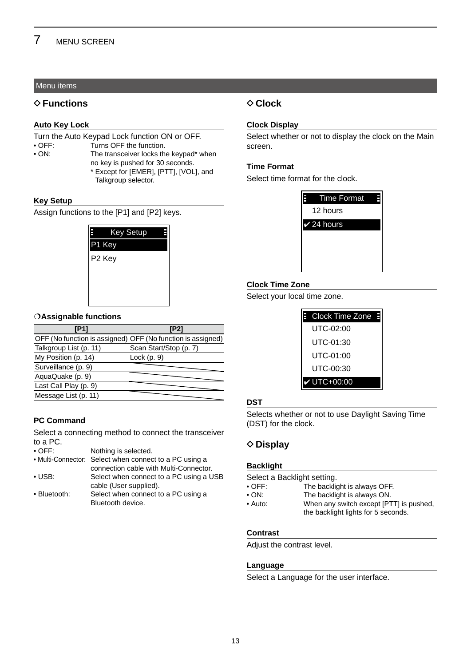### Menu items

### **♦ Functions**

#### **Auto Key Lock**

Turn the Auto Keypad Lock function ON or OFF.<br>
• OFF: Turns OFF the function.

• OFF:<br>• ON: Turns OFF the function.<br>• ON: The transceiver locks th

- 
- The transceiver locks the keypad\* when no key is pushed for 30 seconds.
	- \* Except for [EMER], [PTT], [VOL], and Talkgroup selector.

#### **Key Setup**

Assign functions to the [P1] and [P2] keys.



### **Assignable functions**

| [P1]                                                        | [P2]                   |
|-------------------------------------------------------------|------------------------|
| OFF (No function is assigned) OFF (No function is assigned) |                        |
| Talkgroup List (p. 11)                                      | Scan Start/Stop (p. 7) |
| My Position (p. 14)                                         | Lock $(p. 9)$          |
| Surveillance (p. 9)                                         |                        |
| AquaQuake (p. 9)                                            |                        |
| Last Call Play (p. 9)                                       |                        |
| Message List (p. 11)                                        |                        |

### **PC Command**

Select a connecting method to connect the transceiver to a PC.<br>• OFF:

Nothing is selected.

- Multi-Connector: Select when connect to a PC using a connection cable with Multi-Connector. • USB: Select when connect to a PC using a USB cable (User supplied).
- Bluetooth: Select when connect to a PC using a Bluetooth device.

### $♦$  **Clock**

#### **Clock Display**

Select whether or not to display the clock on the Main screen.

### **Time Format**

Select time format for the clock.

| E | <b>Time Format</b>    |  |
|---|-----------------------|--|
|   | 12 hours              |  |
|   | $\checkmark$ 24 hours |  |
|   |                       |  |
|   |                       |  |
|   |                       |  |

### **Clock Time Zone**

Select your local time zone.

| E Clock Time Zone E |  |
|---------------------|--|
| UTC-02:00           |  |
| UTC-01:30           |  |
| UTC-01:00           |  |
| UTC-00:30           |  |
| $V$ UTC+00:00       |  |

### **DST**

Selects whether or not to use Daylight Saving Time (DST) for the clock.

### **◇ Display**

#### **Backlight**

| Select a Backlight setting. |                                                                                |  |  |  |
|-----------------------------|--------------------------------------------------------------------------------|--|--|--|
| $\bullet$ OFF:              | The backlight is always OFF.                                                   |  |  |  |
| $\bullet$ ON:               | The backlight is always ON.                                                    |  |  |  |
| $\bullet$ Auto:             | When any switch except [PTT] is pushed,<br>the backlight lights for 5 seconds. |  |  |  |

#### **Contrast**

Adjust the contrast level.

### **Language**

Select a Language for the user interface.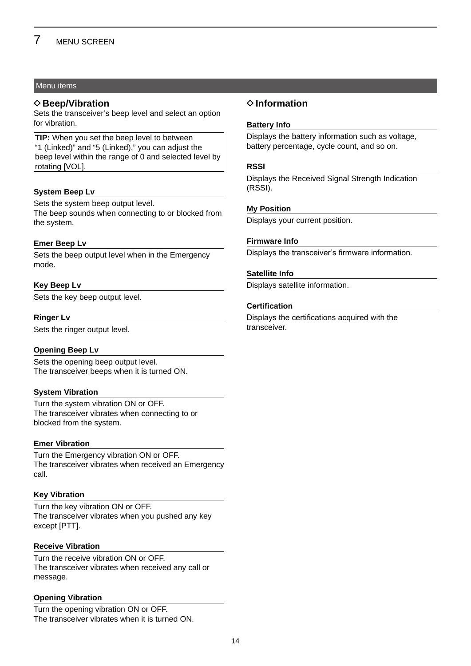### Menu items

### **◇ Beep/Vibration**

Sets the transceiver's beep level and select an option for vibration.

**TIP:** When you set the beep level to between "1 (Linked)" and "5 (Linked)," you can adjust the beep level within the range of 0 and selected level by rotating [VOL].

### **System Beep Lv**

Sets the system beep output level. The beep sounds when connecting to or blocked from the system.

### **Emer Beep Lv**

Sets the beep output level when in the Emergency mode.

### **Key Beep Lv**

Sets the key beep output level.

### **Ringer Lv**

Sets the ringer output level.

### **Opening Beep Lv**

Sets the opening beep output level. The transceiver beeps when it is turned ON.

### **System Vibration**

Turn the system vibration ON or OFF. The transceiver vibrates when connecting to or blocked from the system.

### **Emer Vibration**

Turn the Emergency vibration ON or OFF. The transceiver vibrates when received an Emergency call.

### **Key Vibration**

Turn the key vibration ON or OFF. The transceiver vibrates when you pushed any key except [PTT].

### **Receive Vibration**

Turn the receive vibration ON or OFF. The transceiver vibrates when received any call or message.

### **Opening Vibration**

Turn the opening vibration ON or OFF. The transceiver vibrates when it is turned ON.

### **♦ Information**

### **Battery Info**

Displays the battery information such as voltage, battery percentage, cycle count, and so on.

### **RSSI**

Displays the Received Signal Strength Indication (RSSI).

### **My Position**

Displays your current position.

### **Firmware Info**

Displays the transceiver's firmware information.

### **Satellite Info**

Displays satellite information.

### **Certification**

Displays the certifications acquired with the transceiver.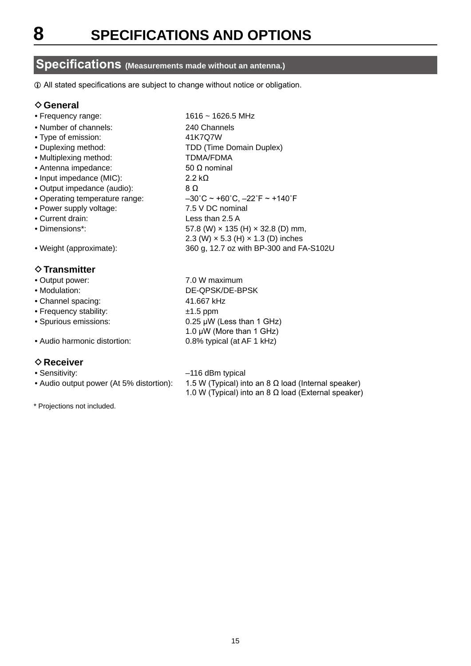### <span id="page-16-0"></span>**Specifications (Measurements made without an antenna.)**

 $\odot$  All stated specifications are subject to change without notice or obligation.

### **♦ General**

- Frequency range: 1616 ~ 1626.5 MHz
- Number of channels: 240 Channels
- Type of emission: 41K7Q7W
- Duplexing method: TDD (Time Domain Duplex)
- Multiplexing method: TDMA/FDMA
- Antenna impedance: 50 Ω nominal
- Input impedance (MIC): 2.2 kΩ
- Output impedance (audio): 8 Ω
- Operating temperature range: –30˚C ~ +60˚C, –22˚F ~ +140˚F
- Power supply voltage: 7.5 V DC nominal
- Current drain: Less than 2.5 A
- Dimensions\*: 57.8 (W) × 135 (H) × 32.8 (D) mm,
- Weight (approximate): 360 g, 12.7 oz with BP-300 and FA-S102U

### $\diamond$ **Transmitter**

- Output power: 7.0 W maximum
- Modulation: DE-QPSK/DE-BPSK
- Channel spacing: 41.667 kHz
- Frequency stability:  $\pm 1.5$  ppm
- Spurious emissions: 0.25 μW (Less than 1 GHz)
- Audio harmonic distortion: 0.8% typical (at AF 1 kHz)

### **◇ Receiver**

- 
- 

• Sensitivity:  $-116$  dBm typical • Audio output power (At 5% distortion):  $1.5 \text{ W}$  (Typical) into an 8  $\Omega$  load (Internal speaker) 1.0 W (Typical) into an 8  $\Omega$  load (External speaker)

2.3 (W) × 5.3 (H) × 1.3 (D) inches

1.0 μW (More than 1 GHz)

\* Projections not included.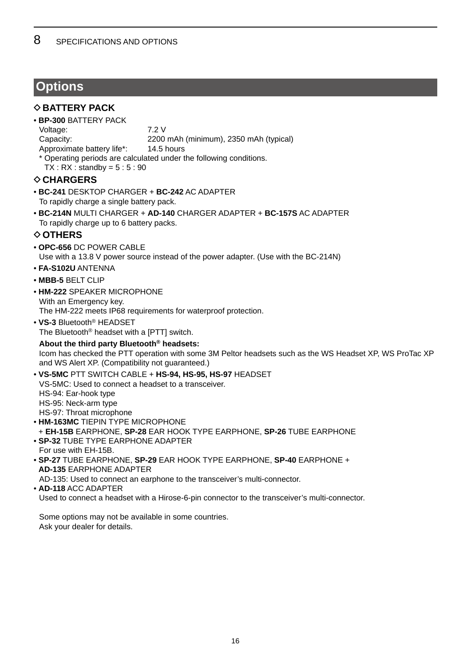### <span id="page-17-0"></span>**Options**

### $\diamond$  **BATTERY PACK**

• **BP-300** BATTERY PACK Voltage: 7.2 V

Capacity: 2200 mAh (minimum), 2350 mAh (typical)

- Approximate battery life\*: 14.5 hours
- \* Operating periods are calculated under the following conditions.
- $TX: RX: standardby = 5:5:90$

### **◇ CHARGERS**

- **BC-241** DESKTOP CHARGER + **BC-242** AC ADAPTER To rapidly charge a single battery pack.
- **BC-214N** MULTI CHARGER + **AD-140** CHARGER ADAPTER + **BC-157S** AC ADAPTER To rapidly charge up to 6 battery packs.

### **◇ OTHERS**

- **OPC-656** DC POWER CABLE Use with a 13.8 V power source instead of the power adapter. (Use with the BC-214N)
- **FA-S102U** ANTENNA
- **MBB-5** BELT CLIP
- **HM-222** SPEAKER MICROPHONE With an Emergency key.

The HM-222 meets IP68 requirements for waterproof protection.

• **VS-3** Bluetooth® HEADSET The Bluetooth® headset with a [PTT] switch.

**About the third party Bluetooth® headsets:** Icom has checked the PTT operation with some 3M Peltor headsets such as the WS Headset XP, WS ProTac XP and WS Alert XP. (Compatibility not guaranteed.)

- **VS-5MC** PTT SWITCH CABLE + **HS-94, HS-95, HS-97** HEADSET VS-5MC: Used to connect a headset to a transceiver. HS-94: Ear-hook type HS-95: Neck-arm type HS-97: Throat microphone • **HM-163MC** TIEPIN TYPE MICROPHONE
- + **EH-15B** EARPHONE, **SP-28** EAR HOOK TYPE EARPHONE, **SP-26** TUBE EARPHONE • **SP-32** TUBE TYPE EARPHONE ADAPTER For use with EH-15B.
- **SP-27** TUBE EARPHONE, **SP-29** EAR HOOK TYPE EARPHONE, **SP-40** EARPHONE + **AD-135** EARPHONE ADAPTER

AD-135: Used to connect an earphone to the transceiver's multi-connector.

• **AD-118** ACC ADAPTER Used to connect a headset with a Hirose-6-pin connector to the transceiver's multi-connector.

Some options may not be available in some countries. Ask your dealer for details.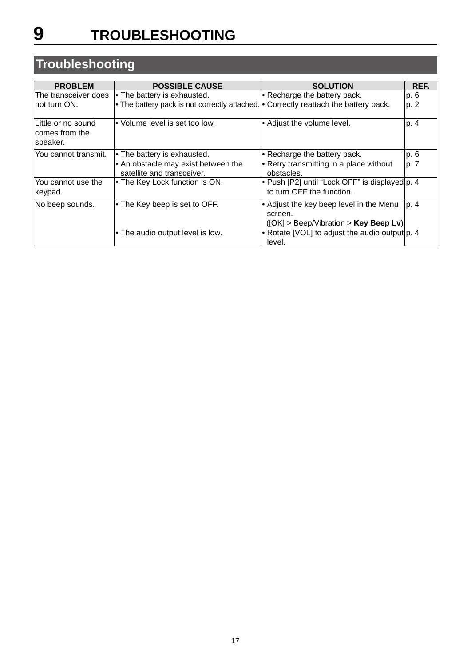# <span id="page-18-0"></span>**Troubleshooting**

| <b>PROBLEM</b>                                    | <b>POSSIBLE CAUSE</b>                                                                | <b>SOLUTION</b>                                                                               | REF.  |
|---------------------------------------------------|--------------------------------------------------------------------------------------|-----------------------------------------------------------------------------------------------|-------|
| The transceiver does                              | • The battery is exhausted.                                                          | $\cdot$ Recharge the battery pack.                                                            | p.6   |
| lnot turn ON.                                     | • The battery pack is not correctly attached. • Correctly reattach the battery pack. |                                                                                               | p. 2  |
| Little or no sound<br>lcomes from the<br>speaker. | • Volume level is set too low.                                                       | • Adjust the volume level.                                                                    | p. 4  |
| You cannot transmit.                              | • The battery is exhausted.                                                          | • Recharge the battery pack.                                                                  | p. 6  |
|                                                   | • An obstacle may exist between the<br>satellite and transceiver.                    | • Retry transmitting in a place without<br>obstacles.                                         | lp. 7 |
| You cannot use the<br>keypad.                     | • The Key Lock function is ON.                                                       | • Push [P2] until "Lock OFF" is displayed p. 4<br>to turn OFF the function.                   |       |
| No beep sounds.                                   | • The Key beep is set to OFF.                                                        | • Adjust the key beep level in the Menu<br>screen.<br>$( OK]$ > Beep/Vibration > Key Beep Lv) | p. 4  |
|                                                   | • The audio output level is low.                                                     | • Rotate [VOL] to adjust the audio output $ p. 4 $<br>level.                                  |       |